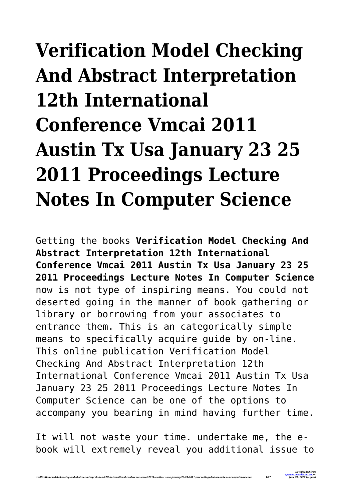## **Verification Model Checking And Abstract Interpretation 12th International Conference Vmcai 2011 Austin Tx Usa January 23 25 2011 Proceedings Lecture Notes In Computer Science**

Getting the books **Verification Model Checking And Abstract Interpretation 12th International Conference Vmcai 2011 Austin Tx Usa January 23 25 2011 Proceedings Lecture Notes In Computer Science** now is not type of inspiring means. You could not deserted going in the manner of book gathering or library or borrowing from your associates to entrance them. This is an categorically simple means to specifically acquire guide by on-line. This online publication Verification Model Checking And Abstract Interpretation 12th International Conference Vmcai 2011 Austin Tx Usa January 23 25 2011 Proceedings Lecture Notes In Computer Science can be one of the options to accompany you bearing in mind having further time.

It will not waste your time. undertake me, the ebook will extremely reveal you additional issue to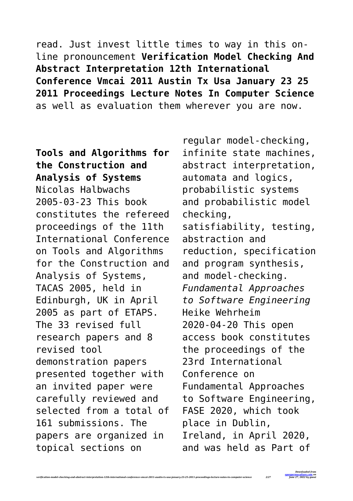read. Just invest little times to way in this online pronouncement **Verification Model Checking And Abstract Interpretation 12th International Conference Vmcai 2011 Austin Tx Usa January 23 25 2011 Proceedings Lecture Notes In Computer Science** as well as evaluation them wherever you are now.

**Tools and Algorithms for the Construction and Analysis of Systems** Nicolas Halbwachs 2005-03-23 This book constitutes the refereed proceedings of the 11th International Conference on Tools and Algorithms for the Construction and Analysis of Systems, TACAS 2005, held in Edinburgh, UK in April 2005 as part of ETAPS. The 33 revised full research papers and 8 revised tool demonstration papers presented together with an invited paper were carefully reviewed and selected from a total of 161 submissions. The papers are organized in topical sections on

*verification-model-checking-and-abstract-interpretation-12th-international-conference-vmcai-2011-austin-tx-usa-january-23-25-2011-proceedings-lecture-notes-in-computer-science 2/27*

regular model-checking, infinite state machines, abstract interpretation, automata and logics, probabilistic systems and probabilistic model checking, satisfiability, testing, abstraction and reduction, specification and program synthesis, and model-checking. *Fundamental Approaches to Software Engineering* Heike Wehrheim 2020-04-20 This open access book constitutes the proceedings of the 23rd International Conference on Fundamental Approaches to Software Engineering, FASE 2020, which took place in Dublin, Ireland, in April 2020, and was held as Part of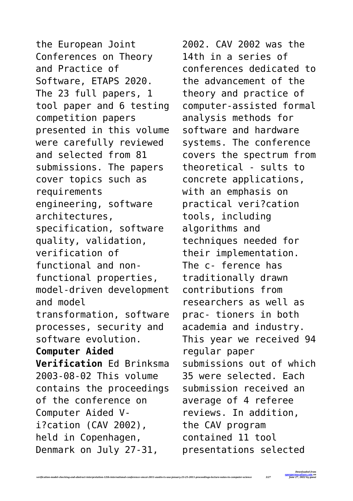the European Joint Conferences on Theory and Practice of Software, ETAPS 2020. The 23 full papers, 1 tool paper and 6 testing competition papers presented in this volume were carefully reviewed and selected from 81 submissions. The papers cover topics such as requirements engineering, software architectures, specification, software quality, validation, verification of functional and nonfunctional properties, model-driven development and model transformation, software processes, security and software evolution. **Computer Aided Verification** Ed Brinksma 2003-08-02 This volume contains the proceedings of the conference on Computer Aided Vi?cation (CAV 2002), held in Copenhagen, Denmark on July 27-31,

*verification-model-checking-and-abstract-interpretation-12th-international-conference-vmcai-2011-austin-tx-usa-january-23-25-2011-proceedings-lecture-notes-in-computer-science 3/27*

2002. CAV 2002 was the 14th in a series of conferences dedicated to the advancement of the theory and practice of computer-assisted formal analysis methods for software and hardware systems. The conference covers the spectrum from theoretical - sults to concrete applications, with an emphasis on practical veri?cation tools, including algorithms and techniques needed for their implementation. The c- ference has traditionally drawn contributions from researchers as well as prac- tioners in both academia and industry. This year we received 94 regular paper submissions out of which 35 were selected. Each submission received an average of 4 referee reviews. In addition, the CAV program contained 11 tool presentations selected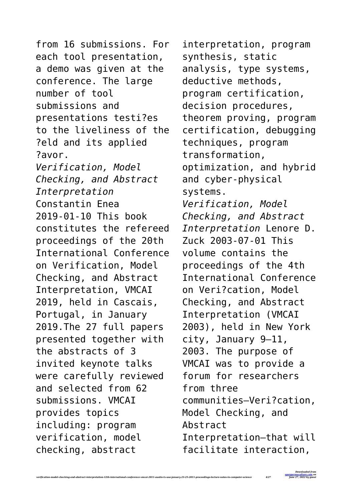from 16 submissions. For each tool presentation, a demo was given at the conference. The large number of tool submissions and presentations testi?es to the liveliness of the ?eld and its applied ?avor. *Verification, Model Checking, and Abstract Interpretation* Constantin Enea 2019-01-10 This book constitutes the refereed proceedings of the 20th International Conference on Verification, Model Checking, and Abstract Interpretation, VMCAI 2019, held in Cascais, Portugal, in January 2019.The 27 full papers presented together with the abstracts of 3 invited keynote talks were carefully reviewed and selected from 62 submissions. VMCAI provides topics including: program verification, model checking, abstract

*verification-model-checking-and-abstract-interpretation-12th-international-conference-vmcai-2011-austin-tx-usa-january-23-25-2011-proceedings-lecture-notes-in-computer-science 4/27*

interpretation, program synthesis, static analysis, type systems, deductive methods, program certification, decision procedures, theorem proving, program certification, debugging techniques, program transformation, optimization, and hybrid and cyber-physical systems. *Verification, Model Checking, and Abstract Interpretation* Lenore D. Zuck 2003-07-01 This volume contains the proceedings of the 4th International Conference on Veri?cation, Model Checking, and Abstract Interpretation (VMCAI 2003), held in New York city, January 9–11, 2003. The purpose of VMCAI was to provide a forum for researchers from three communities—Veri?cation, Model Checking, and Abstract Interpretation—that will facilitate interaction,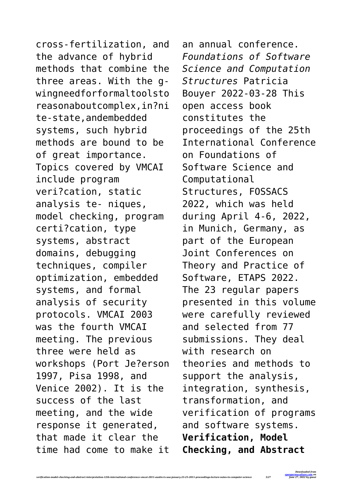cross-fertilization, and the advance of hybrid methods that combine the three areas. With the gwingneedforformaltoolsto reasonaboutcomplex,in?ni te-state,andembedded systems, such hybrid methods are bound to be of great importance. Topics covered by VMCAI include program veri?cation, static analysis te- niques, model checking, program certi?cation, type systems, abstract domains, debugging techniques, compiler optimization, embedded systems, and formal analysis of security protocols. VMCAI 2003 was the fourth VMCAI meeting. The previous three were held as workshops (Port Je?erson 1997, Pisa 1998, and Venice 2002). It is the success of the last meeting, and the wide response it generated, that made it clear the time had come to make it

*verification-model-checking-and-abstract-interpretation-12th-international-conference-vmcai-2011-austin-tx-usa-january-23-25-2011-proceedings-lecture-notes-in-computer-science 5/27*

an annual conference. *Foundations of Software Science and Computation Structures* Patricia Bouyer 2022-03-28 This open access book constitutes the proceedings of the 25th International Conference on Foundations of Software Science and Computational Structures, FOSSACS 2022, which was held during April 4-6, 2022, in Munich, Germany, as part of the European Joint Conferences on Theory and Practice of Software, ETAPS 2022. The 23 regular papers presented in this volume were carefully reviewed and selected from 77 submissions. They deal with research on theories and methods to support the analysis, integration, synthesis, transformation, and verification of programs and software systems. **Verification, Model Checking, and Abstract**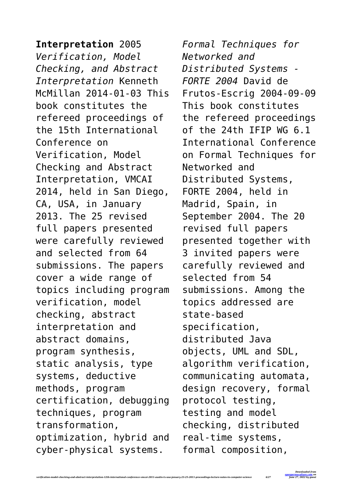**Interpretation** 2005 *Verification, Model Checking, and Abstract Interpretation* Kenneth McMillan 2014-01-03 This book constitutes the refereed proceedings of the 15th International Conference on Verification, Model Checking and Abstract Interpretation, VMCAI 2014, held in San Diego, CA, USA, in January 2013. The 25 revised full papers presented were carefully reviewed and selected from 64 submissions. The papers cover a wide range of topics including program verification, model checking, abstract interpretation and abstract domains, program synthesis, static analysis, type systems, deductive methods, program certification, debugging techniques, program transformation, optimization, hybrid and cyber-physical systems.

*verification-model-checking-and-abstract-interpretation-12th-international-conference-vmcai-2011-austin-tx-usa-january-23-25-2011-proceedings-lecture-notes-in-computer-science 6/27*

*Formal Techniques for Networked and Distributed Systems - FORTE 2004* David de Frutos-Escrig 2004-09-09 This book constitutes the refereed proceedings of the 24th IFIP WG 6.1 International Conference on Formal Techniques for Networked and Distributed Systems, FORTE 2004, held in Madrid, Spain, in September 2004. The 20 revised full papers presented together with 3 invited papers were carefully reviewed and selected from 54 submissions. Among the topics addressed are state-based specification, distributed Java objects, UML and SDL, algorithm verification, communicating automata, design recovery, formal protocol testing, testing and model checking, distributed real-time systems, formal composition,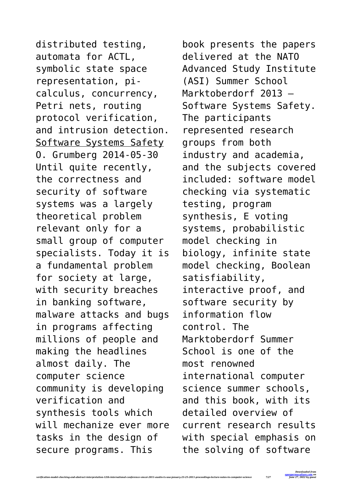distributed testing, automata for ACTL, symbolic state space representation, picalculus, concurrency, Petri nets, routing protocol verification, and intrusion detection. Software Systems Safety O. Grumberg 2014-05-30 Until quite recently, the correctness and security of software systems was a largely theoretical problem relevant only for a small group of computer specialists. Today it is a fundamental problem for society at large, with security breaches in banking software, malware attacks and bugs in programs affecting millions of people and making the headlines almost daily. The computer science community is developing verification and synthesis tools which will mechanize ever more tasks in the design of secure programs. This

book presents the papers delivered at the NATO Advanced Study Institute (ASI) Summer School Marktoberdorf 2013 – Software Systems Safety. The participants represented research groups from both industry and academia, and the subjects covered included: software model checking via systematic testing, program synthesis, E voting systems, probabilistic model checking in biology, infinite state model checking, Boolean satisfiability, interactive proof, and software security by information flow control. The Marktoberdorf Summer School is one of the most renowned international computer science summer schools, and this book, with its detailed overview of current research results with special emphasis on the solving of software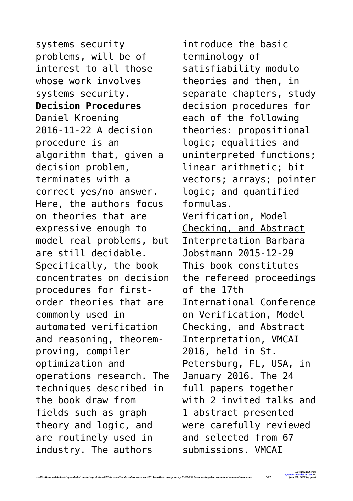systems security problems, will be of interest to all those whose work involves systems security. **Decision Procedures** Daniel Kroening 2016-11-22 A decision procedure is an algorithm that, given a decision problem, terminates with a correct yes/no answer. Here, the authors focus on theories that are expressive enough to model real problems, but are still decidable. Specifically, the book concentrates on decision procedures for firstorder theories that are commonly used in automated verification and reasoning, theoremproving, compiler optimization and operations research. The techniques described in the book draw from fields such as graph theory and logic, and are routinely used in industry. The authors

*verification-model-checking-and-abstract-interpretation-12th-international-conference-vmcai-2011-austin-tx-usa-january-23-25-2011-proceedings-lecture-notes-in-computer-science 8/27*

introduce the basic terminology of satisfiability modulo theories and then, in separate chapters, study decision procedures for each of the following theories: propositional logic; equalities and uninterpreted functions; linear arithmetic; bit vectors; arrays; pointer logic; and quantified formulas. Verification, Model Checking, and Abstract Interpretation Barbara Jobstmann 2015-12-29 This book constitutes the refereed proceedings of the 17th International Conference on Verification, Model Checking, and Abstract Interpretation, VMCAI 2016, held in St. Petersburg, FL, USA, in January 2016. The 24 full papers together with 2 invited talks and 1 abstract presented were carefully reviewed and selected from 67 submissions. VMCAI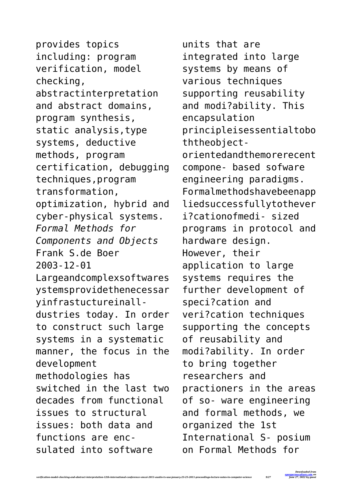provides topics including: program verification, model checking, abstractinterpretation and abstract domains, program synthesis, static analysis,type systems, deductive methods, program certification, debugging techniques,program transformation, optimization, hybrid and cyber-physical systems. *Formal Methods for Components and Objects* Frank S.de Boer 2003-12-01 Largeandcomplexsoftwares ystemsprovidethenecessar yinfrastuctureinalldustries today. In order to construct such large systems in a systematic manner, the focus in the development methodologies has switched in the last two decades from functional issues to structural issues: both data and functions are encsulated into software

*verification-model-checking-and-abstract-interpretation-12th-international-conference-vmcai-2011-austin-tx-usa-january-23-25-2011-proceedings-lecture-notes-in-computer-science 9/27*

units that are integrated into large systems by means of various techniques supporting reusability and modi?ability. This encapsulation principleisessentialtobo ththeobjectorientedandthemorerecent compone- based sofware engineering paradigms. Formalmethodshavebeenapp liedsuccessfullytothever i?cationofmedi- sized programs in protocol and hardware design. However, their application to large systems requires the further development of speci?cation and veri?cation techniques supporting the concepts of reusability and modi?ability. In order to bring together researchers and practioners in the areas of so- ware engineering and formal methods, we organized the 1st International S- posium on Formal Methods for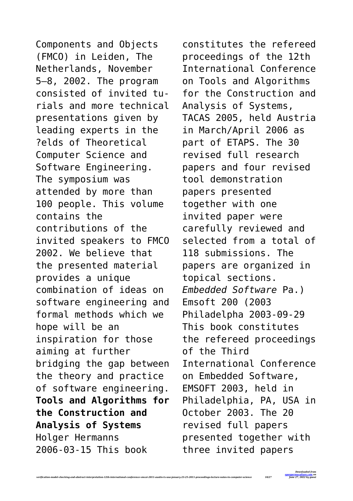Components and Objects (FMCO) in Leiden, The Netherlands, November 5–8, 2002. The program consisted of invited turials and more technical presentations given by leading experts in the ?elds of Theoretical Computer Science and Software Engineering. The symposium was attended by more than 100 people. This volume contains the contributions of the invited speakers to FMCO 2002. We believe that the presented material provides a unique combination of ideas on software engineering and formal methods which we hope will be an inspiration for those aiming at further bridging the gap between the theory and practice of software engineering. **Tools and Algorithms for the Construction and Analysis of Systems** Holger Hermanns 2006-03-15 This book

*verification-model-checking-and-abstract-interpretation-12th-international-conference-vmcai-2011-austin-tx-usa-january-23-25-2011-proceedings-lecture-notes-in-computer-science 10/27*

constitutes the refereed proceedings of the 12th International Conference on Tools and Algorithms for the Construction and Analysis of Systems, TACAS 2005, held Austria in March/April 2006 as part of ETAPS. The 30 revised full research papers and four revised tool demonstration papers presented together with one invited paper were carefully reviewed and selected from a total of 118 submissions. The papers are organized in topical sections. *Embedded Software* Pa.) Emsoft 200 (2003 Philadelpha 2003-09-29 This book constitutes the refereed proceedings of the Third International Conference on Embedded Software, EMSOFT 2003, held in Philadelphia, PA, USA in October 2003. The 20 revised full papers presented together with three invited papers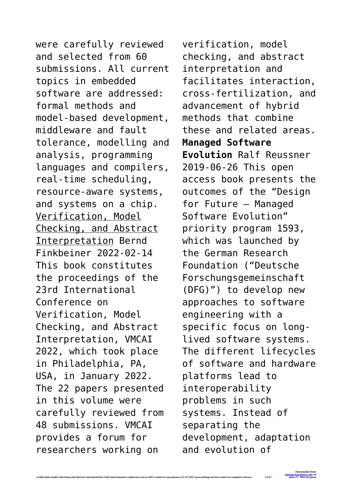were carefully reviewed and selected from 60 submissions. All current topics in embedded software are addressed: formal methods and model-based development, middleware and fault tolerance, modelling and analysis, programming languages and compilers, real-time scheduling, resource-aware systems, and systems on a chip. Verification, Model Checking, and Abstract Interpretation Bernd Finkbeiner 2022-02-14 This book constitutes the proceedings of the 23rd International Conference on Verification, Model Checking, and Abstract Interpretation, VMCAI 2022, which took place in Philadelphia, PA, USA, in January 2022. The 22 papers presented in this volume were carefully reviewed from 48 submissions. VMCAI provides a forum for researchers working on

*verification-model-checking-and-abstract-interpretation-12th-international-conference-vmcai-2011-austin-tx-usa-january-23-25-2011-proceedings-lecture-notes-in-computer-science 11/27*

verification, model checking, and abstract interpretation and facilitates interaction, cross-fertilization, and advancement of hybrid methods that combine these and related areas. **Managed Software Evolution** Ralf Reussner 2019-06-26 This open access book presents the outcomes of the "Design for Future – Managed Software Evolution" priority program 1593, which was launched by the German Research Foundation ("Deutsche Forschungsgemeinschaft (DFG)") to develop new approaches to software engineering with a specific focus on longlived software systems. The different lifecycles of software and hardware platforms lead to interoperability problems in such systems. Instead of separating the development, adaptation and evolution of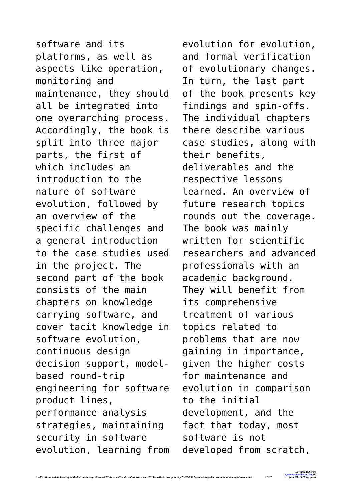software and its platforms, as well as aspects like operation, monitoring and maintenance, they should all be integrated into one overarching process. Accordingly, the book is split into three major parts, the first of which includes an introduction to the nature of software evolution, followed by an overview of the specific challenges and a general introduction to the case studies used in the project. The second part of the book consists of the main chapters on knowledge carrying software, and cover tacit knowledge in software evolution, continuous design decision support, modelbased round-trip engineering for software product lines, performance analysis strategies, maintaining security in software evolution, learning from

*verification-model-checking-and-abstract-interpretation-12th-international-conference-vmcai-2011-austin-tx-usa-january-23-25-2011-proceedings-lecture-notes-in-computer-science 12/27*

evolution for evolution, and formal verification of evolutionary changes. In turn, the last part of the book presents key findings and spin-offs. The individual chapters there describe various case studies, along with their benefits, deliverables and the respective lessons learned. An overview of future research topics rounds out the coverage. The book was mainly written for scientific researchers and advanced professionals with an academic background. They will benefit from its comprehensive treatment of various topics related to problems that are now gaining in importance, given the higher costs for maintenance and evolution in comparison to the initial development, and the fact that today, most software is not developed from scratch,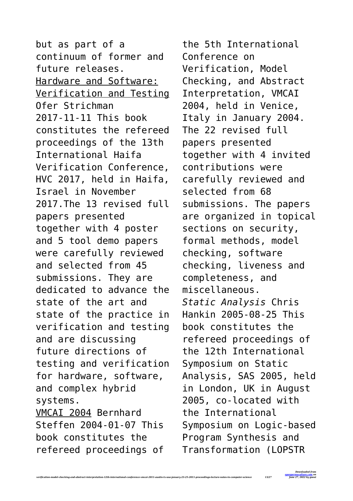but as part of a continuum of former and future releases. Hardware and Software: Verification and Testing Ofer Strichman 2017-11-11 This book constitutes the refereed proceedings of the 13th International Haifa Verification Conference, HVC 2017, held in Haifa, Israel in November 2017.The 13 revised full papers presented together with 4 poster and 5 tool demo papers were carefully reviewed and selected from 45 submissions. They are dedicated to advance the state of the art and state of the practice in verification and testing and are discussing future directions of testing and verification for hardware, software, and complex hybrid systems. VMCAI 2004 Bernhard Steffen 2004-01-07 This book constitutes the refereed proceedings of

*verification-model-checking-and-abstract-interpretation-12th-international-conference-vmcai-2011-austin-tx-usa-january-23-25-2011-proceedings-lecture-notes-in-computer-science 13/27*

the 5th International Conference on Verification, Model Checking, and Abstract Interpretation, VMCAI 2004, held in Venice, Italy in January 2004. The 22 revised full papers presented together with 4 invited contributions were carefully reviewed and selected from 68 submissions. The papers are organized in topical sections on security, formal methods, model checking, software checking, liveness and completeness, and miscellaneous. *Static Analysis* Chris Hankin 2005-08-25 This book constitutes the refereed proceedings of the 12th International Symposium on Static Analysis, SAS 2005, held in London, UK in August 2005, co-located with the International Symposium on Logic-based Program Synthesis and Transformation (LOPSTR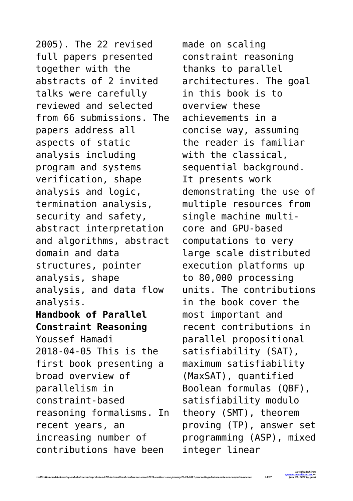2005). The 22 revised full papers presented together with the abstracts of 2 invited talks were carefully reviewed and selected from 66 submissions. The papers address all aspects of static analysis including program and systems verification, shape analysis and logic, termination analysis, security and safety, abstract interpretation and algorithms, abstract domain and data structures, pointer analysis, shape analysis, and data flow analysis. **Handbook of Parallel Constraint Reasoning** Youssef Hamadi 2018-04-05 This is the first book presenting a broad overview of parallelism in constraint-based reasoning formalisms. In recent years, an increasing number of contributions have been

*verification-model-checking-and-abstract-interpretation-12th-international-conference-vmcai-2011-austin-tx-usa-january-23-25-2011-proceedings-lecture-notes-in-computer-science 14/27*

made on scaling constraint reasoning thanks to parallel architectures. The goal in this book is to overview these achievements in a concise way, assuming the reader is familiar with the classical, sequential background. It presents work demonstrating the use of multiple resources from single machine multicore and GPU-based computations to very large scale distributed execution platforms up to 80,000 processing units. The contributions in the book cover the most important and recent contributions in parallel propositional satisfiability (SAT), maximum satisfiability (MaxSAT), quantified Boolean formulas (QBF), satisfiability modulo theory (SMT), theorem proving (TP), answer set programming (ASP), mixed integer linear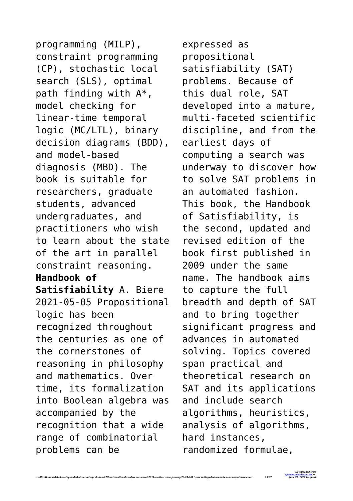programming (MILP), constraint programming (CP), stochastic local search (SLS), optimal path finding with A\*, model checking for linear-time temporal logic (MC/LTL), binary decision diagrams (BDD), and model-based diagnosis (MBD). The book is suitable for researchers, graduate students, advanced undergraduates, and practitioners who wish to learn about the state of the art in parallel constraint reasoning. **Handbook of Satisfiability** A. Biere 2021-05-05 Propositional logic has been recognized throughout the centuries as one of the cornerstones of reasoning in philosophy and mathematics. Over time, its formalization into Boolean algebra was accompanied by the recognition that a wide range of combinatorial problems can be

expressed as propositional satisfiability (SAT) problems. Because of this dual role, SAT developed into a mature, multi-faceted scientific discipline, and from the earliest days of computing a search was underway to discover how to solve SAT problems in an automated fashion. This book, the Handbook of Satisfiability, is the second, updated and revised edition of the book first published in 2009 under the same name. The handbook aims to capture the full breadth and depth of SAT and to bring together significant progress and advances in automated solving. Topics covered span practical and theoretical research on SAT and its applications and include search algorithms, heuristics, analysis of algorithms, hard instances, randomized formulae,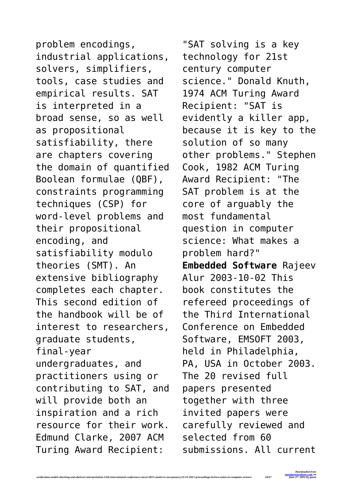problem encodings, industrial applications, solvers, simplifiers, tools, case studies and empirical results. SAT is interpreted in a broad sense, so as well as propositional satisfiability, there are chapters covering the domain of quantified Boolean formulae (QBF), constraints programming techniques (CSP) for word-level problems and their propositional encoding, and satisfiability modulo theories (SMT). An extensive bibliography completes each chapter. This second edition of the handbook will be of interest to researchers, graduate students, final-year undergraduates, and practitioners using or contributing to SAT, and will provide both an inspiration and a rich resource for their work. Edmund Clarke, 2007 ACM Turing Award Recipient:

*verification-model-checking-and-abstract-interpretation-12th-international-conference-vmcai-2011-austin-tx-usa-january-23-25-2011-proceedings-lecture-notes-in-computer-science 16/27*

"SAT solving is a key technology for 21st century computer science." Donald Knuth, 1974 ACM Turing Award Recipient: "SAT is evidently a killer app, because it is key to the solution of so many other problems." Stephen Cook, 1982 ACM Turing Award Recipient: "The SAT problem is at the core of arguably the most fundamental question in computer science: What makes a problem hard?" **Embedded Software** Rajeev Alur 2003-10-02 This book constitutes the refereed proceedings of the Third International Conference on Embedded Software, EMSOFT 2003, held in Philadelphia, PA, USA in October 2003. The 20 revised full papers presented together with three invited papers were carefully reviewed and selected from 60 submissions. All current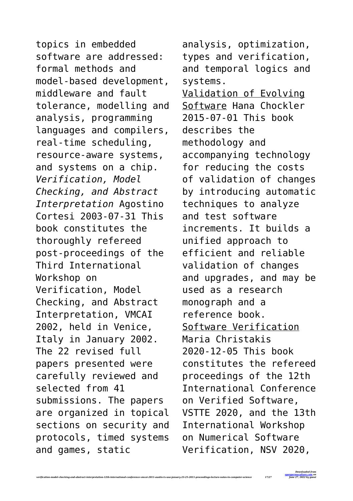topics in embedded software are addressed: formal methods and model-based development, middleware and fault tolerance, modelling and analysis, programming languages and compilers, real-time scheduling, resource-aware systems, and systems on a chip. *Verification, Model Checking, and Abstract Interpretation* Agostino Cortesi 2003-07-31 This book constitutes the thoroughly refereed post-proceedings of the Third International Workshop on Verification, Model Checking, and Abstract Interpretation, VMCAI 2002, held in Venice, Italy in January 2002. The 22 revised full papers presented were carefully reviewed and selected from 41 submissions. The papers are organized in topical sections on security and protocols, timed systems and games, static

analysis, optimization, types and verification, and temporal logics and systems. Validation of Evolving Software Hana Chockler 2015-07-01 This book describes the methodology and accompanying technology for reducing the costs of validation of changes by introducing automatic techniques to analyze and test software increments. It builds a unified approach to efficient and reliable validation of changes and upgrades, and may be used as a research monograph and a reference book. Software Verification Maria Christakis 2020-12-05 This book constitutes the refereed proceedings of the 12th International Conference on Verified Software, VSTTE 2020, and the 13th International Workshop on Numerical Software Verification, NSV 2020,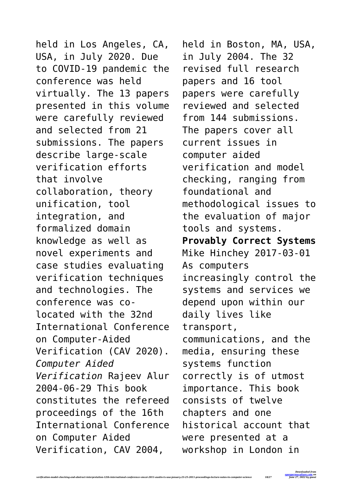held in Los Angeles, CA, USA, in July 2020. Due to COVID-19 pandemic the conference was held virtually. The 13 papers presented in this volume were carefully reviewed and selected from 21 submissions. The papers describe large-scale verification efforts that involve collaboration, theory unification, tool integration, and formalized domain knowledge as well as novel experiments and case studies evaluating verification techniques and technologies. The conference was colocated with the 32nd International Conference on Computer-Aided Verification (CAV 2020). *Computer Aided Verification* Rajeev Alur 2004-06-29 This book constitutes the refereed proceedings of the 16th International Conference on Computer Aided Verification, CAV 2004,

*verification-model-checking-and-abstract-interpretation-12th-international-conference-vmcai-2011-austin-tx-usa-january-23-25-2011-proceedings-lecture-notes-in-computer-science 18/27*

held in Boston, MA, USA, in July 2004. The 32 revised full research papers and 16 tool papers were carefully reviewed and selected from 144 submissions. The papers cover all current issues in computer aided verification and model checking, ranging from foundational and methodological issues to the evaluation of major tools and systems. **Provably Correct Systems** Mike Hinchey 2017-03-01 As computers increasingly control the systems and services we depend upon within our daily lives like transport, communications, and the media, ensuring these systems function correctly is of utmost importance. This book consists of twelve chapters and one historical account that were presented at a workshop in London in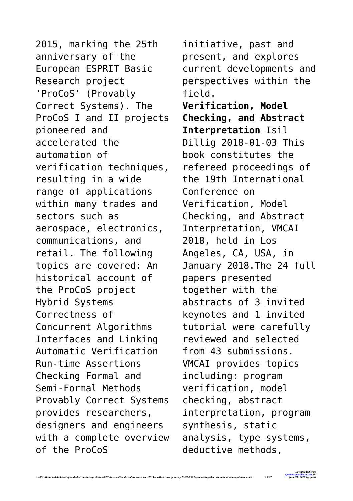2015, marking the 25th anniversary of the European ESPRIT Basic Research project 'ProCoS' (Provably Correct Systems). The ProCoS I and II projects pioneered and accelerated the automation of verification techniques, resulting in a wide range of applications within many trades and sectors such as aerospace, electronics, communications, and retail. The following topics are covered: An historical account of the ProCoS project Hybrid Systems Correctness of Concurrent Algorithms Interfaces and Linking Automatic Verification Run-time Assertions Checking Formal and Semi-Formal Methods Provably Correct Systems provides researchers, designers and engineers with a complete overview of the ProCoS

*verification-model-checking-and-abstract-interpretation-12th-international-conference-vmcai-2011-austin-tx-usa-january-23-25-2011-proceedings-lecture-notes-in-computer-science 19/27*

initiative, past and present, and explores current developments and perspectives within the field. **Verification, Model Checking, and Abstract Interpretation** Isil Dillig 2018-01-03 This book constitutes the refereed proceedings of the 19th International Conference on Verification, Model Checking, and Abstract Interpretation, VMCAI 2018, held in Los Angeles, CA, USA, in January 2018.The 24 full papers presented together with the abstracts of 3 invited keynotes and 1 invited tutorial were carefully reviewed and selected from 43 submissions. VMCAI provides topics including: program verification, model checking, abstract interpretation, program synthesis, static analysis, type systems, deductive methods,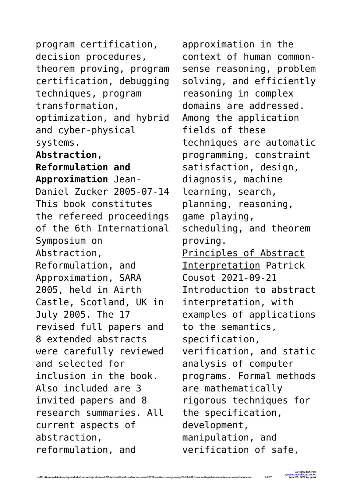program certification, decision procedures, theorem proving, program certification, debugging techniques, program transformation, optimization, and hybrid and cyber-physical systems. **Abstraction, Reformulation and Approximation** Jean-Daniel Zucker 2005-07-14 This book constitutes the refereed proceedings of the 6th International Symposium on Abstraction, Reformulation, and Approximation, SARA 2005, held in Airth Castle, Scotland, UK in July 2005. The 17 revised full papers and 8 extended abstracts were carefully reviewed and selected for inclusion in the book. Also included are 3 invited papers and 8 research summaries. All current aspects of abstraction, reformulation, and

*verification-model-checking-and-abstract-interpretation-12th-international-conference-vmcai-2011-austin-tx-usa-january-23-25-2011-proceedings-lecture-notes-in-computer-science 20/27*

approximation in the context of human commonsense reasoning, problem solving, and efficiently reasoning in complex domains are addressed. Among the application fields of these techniques are automatic programming, constraint satisfaction, design, diagnosis, machine learning, search, planning, reasoning, game playing, scheduling, and theorem proving. Principles of Abstract Interpretation Patrick Cousot 2021-09-21 Introduction to abstract interpretation, with examples of applications to the semantics, specification, verification, and static analysis of computer programs. Formal methods are mathematically rigorous techniques for the specification, development, manipulation, and verification of safe,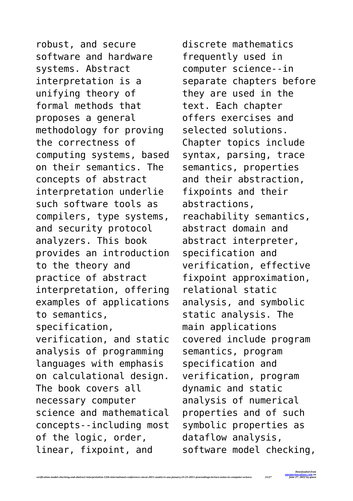robust, and secure software and hardware systems. Abstract interpretation is a unifying theory of formal methods that proposes a general methodology for proving the correctness of computing systems, based on their semantics. The concepts of abstract interpretation underlie such software tools as compilers, type systems, and security protocol analyzers. This book provides an introduction to the theory and practice of abstract interpretation, offering examples of applications to semantics, specification, verification, and static analysis of programming languages with emphasis on calculational design. The book covers all necessary computer science and mathematical concepts--including most of the logic, order, linear, fixpoint, and

discrete mathematics frequently used in computer science--in separate chapters before they are used in the text. Each chapter offers exercises and selected solutions. Chapter topics include syntax, parsing, trace semantics, properties and their abstraction, fixpoints and their abstractions, reachability semantics, abstract domain and abstract interpreter, specification and verification, effective fixpoint approximation, relational static analysis, and symbolic static analysis. The main applications covered include program semantics, program specification and verification, program dynamic and static analysis of numerical properties and of such symbolic properties as dataflow analysis, software model checking,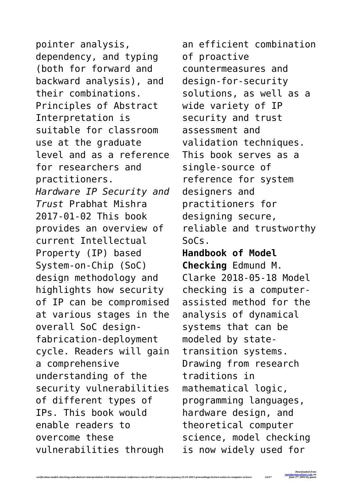pointer analysis, dependency, and typing (both for forward and backward analysis), and their combinations. Principles of Abstract Interpretation is suitable for classroom use at the graduate level and as a reference for researchers and practitioners. *Hardware IP Security and Trust* Prabhat Mishra 2017-01-02 This book provides an overview of current Intellectual Property (IP) based System-on-Chip (SoC) design methodology and highlights how security of IP can be compromised at various stages in the overall SoC designfabrication-deployment cycle. Readers will gain a comprehensive understanding of the security vulnerabilities of different types of IPs. This book would enable readers to overcome these vulnerabilities through

*verification-model-checking-and-abstract-interpretation-12th-international-conference-vmcai-2011-austin-tx-usa-january-23-25-2011-proceedings-lecture-notes-in-computer-science 22/27*

an efficient combination of proactive countermeasures and design-for-security solutions, as well as a wide variety of IP security and trust assessment and validation techniques. This book serves as a single-source of reference for system designers and practitioners for designing secure, reliable and trustworthy SoCs. **Handbook of Model Checking** Edmund M. Clarke 2018-05-18 Model checking is a computerassisted method for the analysis of dynamical systems that can be modeled by statetransition systems. Drawing from research traditions in mathematical logic, programming languages, hardware design, and theoretical computer science, model checking is now widely used for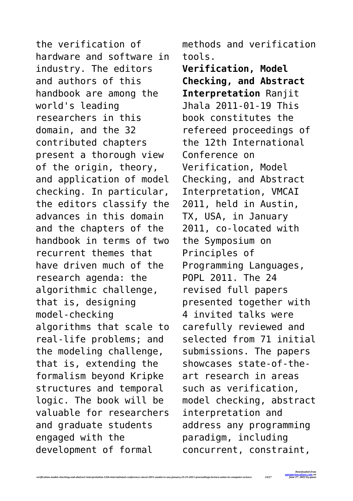the verification of hardware and software in industry. The editors and authors of this handbook are among the world's leading researchers in this domain, and the 32 contributed chapters present a thorough view of the origin, theory, and application of model checking. In particular, the editors classify the advances in this domain and the chapters of the handbook in terms of two recurrent themes that have driven much of the research agenda: the algorithmic challenge, that is, designing model-checking algorithms that scale to real-life problems; and the modeling challenge, that is, extending the formalism beyond Kripke structures and temporal logic. The book will be valuable for researchers and graduate students engaged with the development of formal

methods and verification tools.

**Verification, Model Checking, and Abstract Interpretation** Ranjit Jhala 2011-01-19 This book constitutes the refereed proceedings of the 12th International Conference on Verification, Model Checking, and Abstract Interpretation, VMCAI 2011, held in Austin, TX, USA, in January 2011, co-located with the Symposium on Principles of Programming Languages, POPL 2011. The 24 revised full papers presented together with 4 invited talks were carefully reviewed and selected from 71 initial submissions. The papers showcases state-of-theart research in areas such as verification, model checking, abstract interpretation and address any programming paradigm, including concurrent, constraint,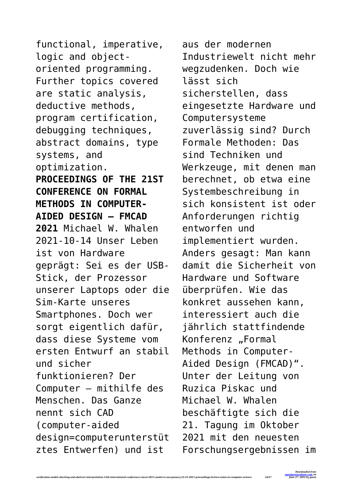functional, imperative, logic and objectoriented programming. Further topics covered are static analysis, deductive methods, program certification, debugging techniques, abstract domains, type systems, and optimization. **PROCEEDINGS OF THE 21ST CONFERENCE ON FORMAL METHODS IN COMPUTER-AIDED DESIGN – FMCAD 2021** Michael W. Whalen 2021-10-14 Unser Leben ist von Hardware geprägt: Sei es der USB-Stick, der Prozessor unserer Laptops oder die Sim-Karte unseres Smartphones. Doch wer sorgt eigentlich dafür, dass diese Systeme vom ersten Entwurf an stabil und sicher funktionieren? Der Computer – mithilfe des Menschen. Das Ganze nennt sich CAD (computer-aided design=computerunterstüt ztes Entwerfen) und ist

aus der modernen Industriewelt nicht mehr wegzudenken. Doch wie lässt sich sicherstellen, dass eingesetzte Hardware und Computersysteme zuverlässig sind? Durch Formale Methoden: Das sind Techniken und Werkzeuge, mit denen man berechnet, ob etwa eine Systembeschreibung in sich konsistent ist oder Anforderungen richtig entworfen und implementiert wurden. Anders gesagt: Man kann damit die Sicherheit von Hardware und Software überprüfen. Wie das konkret aussehen kann, interessiert auch die jährlich stattfindende Konferenz "Formal Methods in Computer-Aided Design (FMCAD)". Unter der Leitung von Ruzica Piskac und Michael W. Whalen beschäftigte sich die 21. Tagung im Oktober 2021 mit den neuesten Forschungsergebnissen im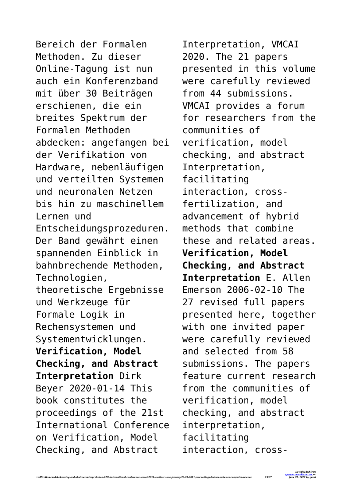Bereich der Formalen Methoden. Zu dieser Online-Tagung ist nun auch ein Konferenzband mit über 30 Beiträgen erschienen, die ein breites Spektrum der Formalen Methoden abdecken: angefangen bei der Verifikation von Hardware, nebenläufigen und verteilten Systemen und neuronalen Netzen bis hin zu maschinellem Lernen und Entscheidungsprozeduren. Der Band gewährt einen spannenden Einblick in bahnbrechende Methoden, Technologien, theoretische Ergebnisse und Werkzeuge für Formale Logik in Rechensystemen und Systementwicklungen. **Verification, Model Checking, and Abstract Interpretation** Dirk Beyer 2020-01-14 This book constitutes the proceedings of the 21st International Conference on Verification, Model Checking, and Abstract

Interpretation, VMCAI 2020. The 21 papers presented in this volume were carefully reviewed from 44 submissions. VMCAI provides a forum for researchers from the communities of verification, model checking, and abstract Interpretation, facilitating interaction, crossfertilization, and advancement of hybrid methods that combine these and related areas. **Verification, Model Checking, and Abstract Interpretation** E. Allen Emerson 2006-02-10 The 27 revised full papers presented here, together with one invited paper were carefully reviewed and selected from 58 submissions. The papers feature current research from the communities of verification, model checking, and abstract interpretation, facilitating interaction, cross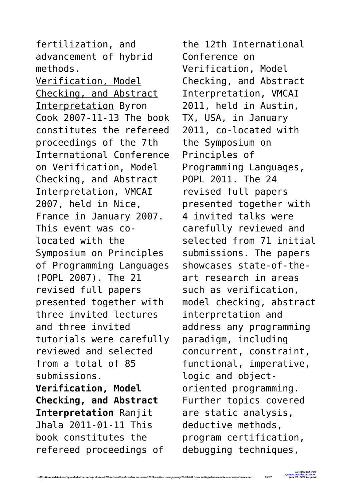fertilization, and advancement of hybrid methods. Verification, Model Checking, and Abstract Interpretation Byron Cook 2007-11-13 The book constitutes the refereed proceedings of the 7th International Conference on Verification, Model Checking, and Abstract Interpretation, VMCAI 2007, held in Nice, France in January 2007. This event was colocated with the Symposium on Principles of Programming Languages (POPL 2007). The 21 revised full papers presented together with three invited lectures and three invited tutorials were carefully reviewed and selected from a total of 85 submissions. **Verification, Model Checking, and Abstract Interpretation** Ranjit Jhala 2011-01-11 This book constitutes the refereed proceedings of

*verification-model-checking-and-abstract-interpretation-12th-international-conference-vmcai-2011-austin-tx-usa-january-23-25-2011-proceedings-lecture-notes-in-computer-science 26/27*

the 12th International Conference on Verification, Model Checking, and Abstract Interpretation, VMCAI 2011, held in Austin, TX, USA, in January 2011, co-located with the Symposium on Principles of Programming Languages, POPL 2011. The 24 revised full papers presented together with 4 invited talks were carefully reviewed and selected from 71 initial submissions. The papers showcases state-of-theart research in areas such as verification, model checking, abstract interpretation and address any programming paradigm, including concurrent, constraint, functional, imperative, logic and objectoriented programming. Further topics covered are static analysis, deductive methods, program certification, debugging techniques,